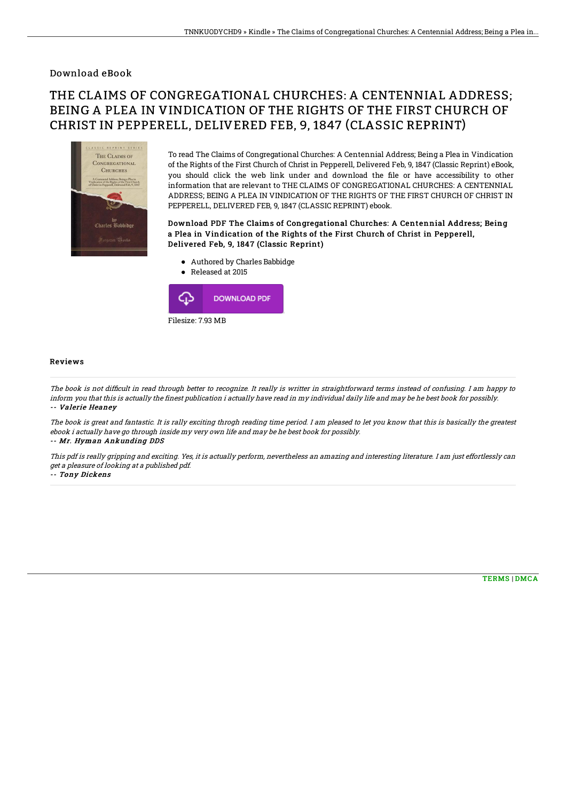### Download eBook

# THE CLAIMS OF CONGREGATIONAL CHURCHES: A CENTENNIAL ADDRESS; BEING A PLEA IN VINDICATION OF THE RIGHTS OF THE FIRST CHURCH OF CHRIST IN PEPPERELL, DELIVERED FEB, 9, 1847 (CLASSIC REPRINT)



To read The Claims of Congregational Churches: A Centennial Address; Being a Plea in Vindication of the Rights of the First Church of Christ in Pepperell, Delivered Feb, 9, 1847 (Classic Reprint) eBook, you should click the web link under and download the file or have accessibility to other information that are relevant to THE CLAIMS OF CONGREGATIONAL CHURCHES: A CENTENNIAL ADDRESS; BEING A PLEA IN VINDICATION OF THE RIGHTS OF THE FIRST CHURCH OF CHRIST IN PEPPERELL, DELIVERED FEB, 9, 1847 (CLASSIC REPRINT) ebook.

#### Download PDF The Claims of Congregational Churches: A Centennial Address; Being a Plea in Vindication of the Rights of the First Church of Christ in Pepperell, Delivered Feb, 9, 1847 (Classic Reprint)

- Authored by Charles Babbidge
- Released at 2015  $\bullet$



#### Reviews

The book is not difficult in read through better to recognize. It really is writter in straightforward terms instead of confusing. I am happy to inform you that this is actually the finest publication i actually have read in my individual daily life and may be he best book for possibly. -- Valerie Heaney

The book is great and fantastic. It is rally exciting throgh reading time period. I am pleased to let you know that this is basically the greatest ebook i actually have go through inside my very own life and may be he best book for possibly. -- Mr. Hyman Ankunding DDS

This pdf is really gripping and exciting. Yes, it is actually perform, nevertheless an amazing and interesting literature. I am just effortlessly can get <sup>a</sup> pleasure of looking at <sup>a</sup> published pdf.

-- Tony Dickens